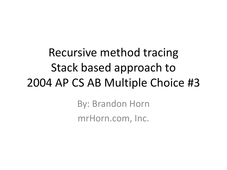Recursive method tracing Stack based approach to 2004 AP CS AB Multiple Choice #3

> By: Brandon Horn mrHorn.com, Inc.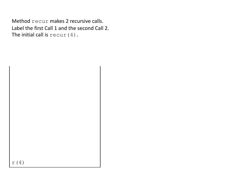Method recur makes 2 recursive calls. Label the first Call 1 and the second Call 2. The initial call is  $\text{recur}(4)$ .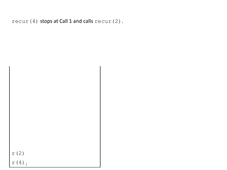```
recur(4) stops at Call 1 and calls recur(2).
```

| r(2)                |  |
|---------------------|--|
| $r(4)$ <sub>1</sub> |  |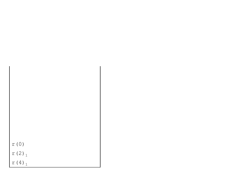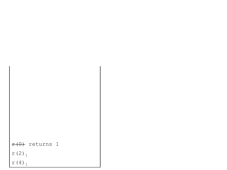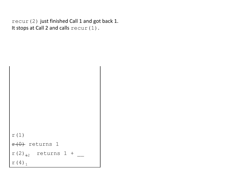recur(2) just finished Call 1 and got back 1. It stops at Call 2 and calls recur(1).

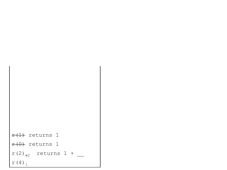```
f(1) returns 1
f(\theta) returns 1
r(2)_{12} returns 1 +
r(4)<sub>1</sub>
```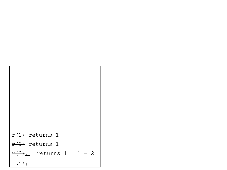```
f(1) returns 1
f(0) returns 1
r(2)_{12} returns 1 + 1 = 2
r(4)<sub>1</sub>
```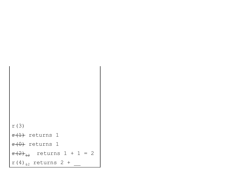```
r(3)
f(1) returns 1
f(0) returns 1
r(2)_{12} returns 1 + 1 = 2
r(4)<sub>+2</sub> returns 2 +
```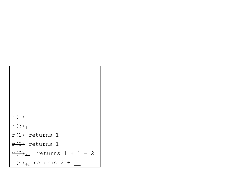```
r(1)
r(3)<sub>1</sub>
f(1) returns 1
f(\theta) returns 1
r(2)_{12} returns 1 + 1 = 2
r(4)<sub>+2</sub> returns 2 +
```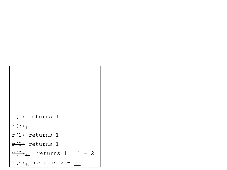```
f(1) returns 1
r(3)<sub>1</sub>f(1) returns 1
f(\theta) returns 1
r(2)_{12} returns 1 + 1 = 2
r(4)<sub>+2</sub> returns 2 +
```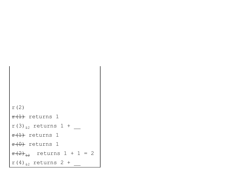```
r(2)
f(1) returns 1
r(3)_{12} returns 1 +
f(1) returns 1
f(\theta) returns 1
r(2)_{12} returns 1 + 1 = 2
r(4)<sub>+2</sub> returns 2 +
```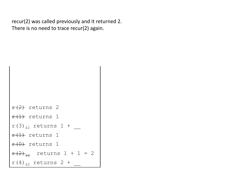recur(2) was called previously and it returned 2. There is no need to trace recur(2) again.

```
f(2) returns 2
f(1) returns 1
r(3)_{12} returns 1 +
f(1) returns 1
f(\theta) returns 1
f(2)_{12} returns 1 + 1 = 2
r(4)_{12} returns 2 +
```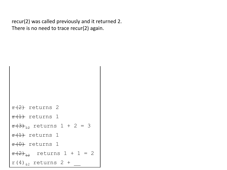recur(2) was called previously and it returned 2. There is no need to trace recur(2) again.

```
f(2) returns 2
f(1) returns 1
f(3)_{12} returns 1 + 2 = 3
f(1) returns 1
f(\theta) returns 1
f(2)_{12} returns 1 + 1 = 2
r(4)_{12} returns 2 +
```